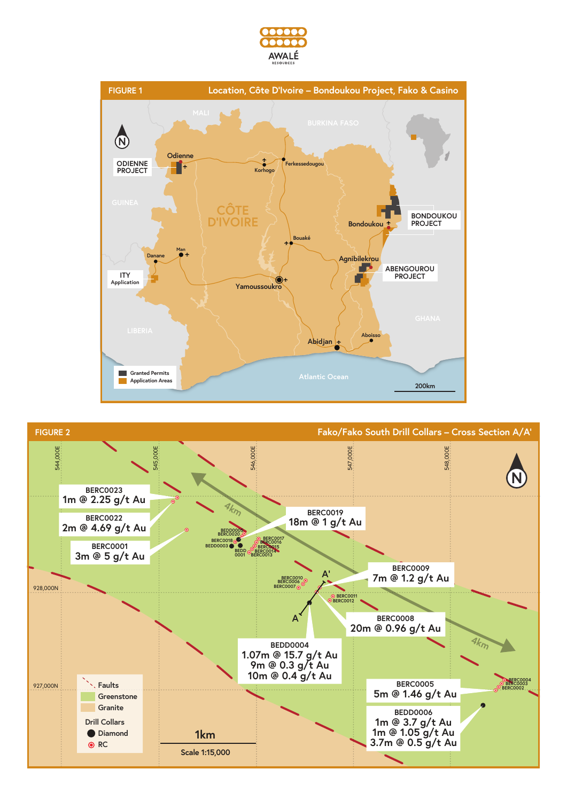



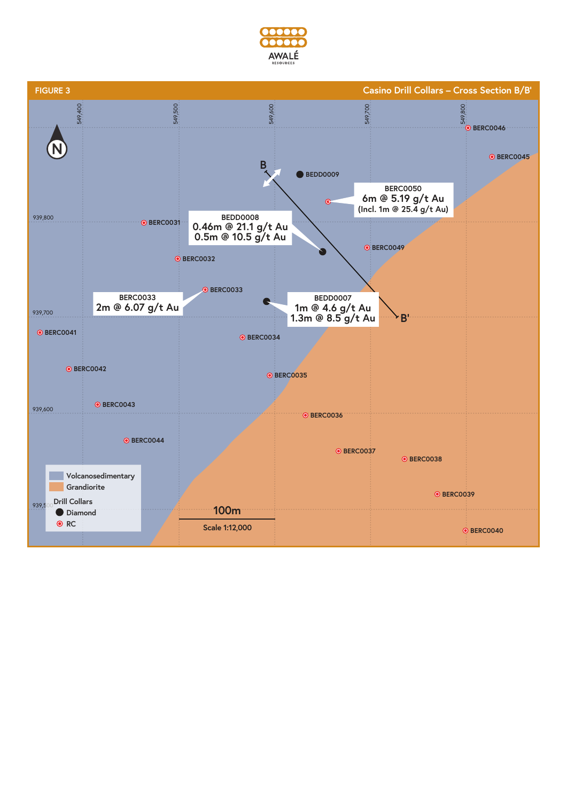

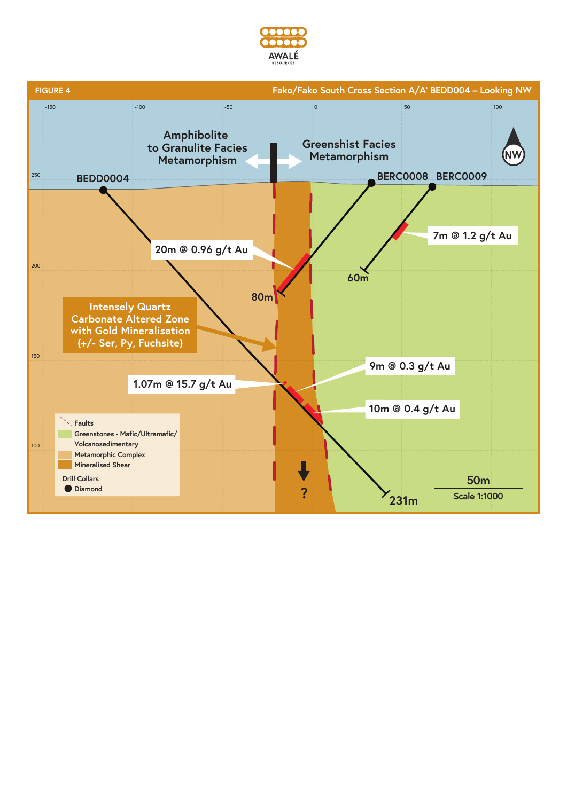